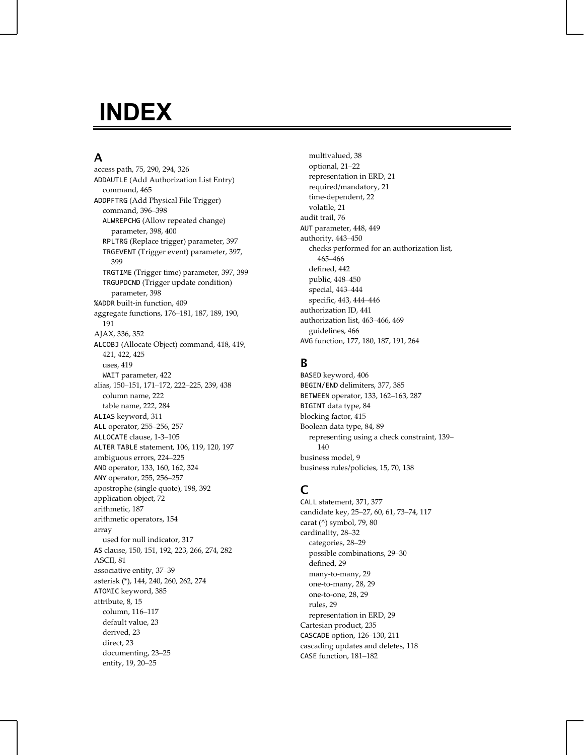# **INDEX**

# **A**

access path, 75, 290, 294, 326 ADDAUTLE (Add Authorization List Entry) command, 465 ADDPFTRG (Add Physical File Trigger) command, 396–398 ALWREPCHG (Allow repeated change) parameter, 398, 400 RPLTRG (Replace trigger) parameter, 397 TRGEVENT (Trigger event) parameter, 397, 399 TRGTIME (Trigger time) parameter, 397, 399 TRGUPDCND (Trigger update condition) parameter, 398 %ADDR built-in function, 409 aggregate functions, 176–181, 187, 189, 190, 191 AJAX, 336, 352 ALCOBJ (Allocate Object) command, 418, 419, 421, 422, 425 uses, 419 WAIT parameter, 422 alias, 150–151, 171–172, 222–225, 239, 438 column name, 222 table name, 222, 284 ALIAS keyword, 311 ALL operator, 255–256, 257 ALLOCATE clause, 1-3–105 ALTER TABLE statement, 106, 119, 120, 197 ambiguous errors, 224–225 AND operator, 133, 160, 162, 324 ANY operator, 255, 256–257 apostrophe (single quote), 198, 392 application object, 72 arithmetic, 187 arithmetic operators, 154 array used for null indicator, 317 AS clause, 150, 151, 192, 223, 266, 274, 282 ASCII, 81 associative entity, 37–39 asterisk (\*), 144, 240, 260, 262, 274 ATOMIC keyword, 385 attribute, 8, 15 column, 116–117 default value, 23 derived, 23 direct, 23 documenting, 23–25 entity, 19, 20–25

multivalued, 38 optional, 21–22 representation in ERD, 21 required/mandatory, 21 time-dependent, 22 volatile, 21 audit trail, 76 AUT parameter, 448, 449 authority, 443–450 checks performed for an authorization list, 465–466 defined, 442 public, 448–450 special, 443–444 specific, 443, 444–446 authorization ID, 441 authorization list, 463–466, 469 guidelines, 466 AVG function, 177, 180, 187, 191, 264

# **B**

BASED keyword, 406 BEGIN/END delimiters, 377, 385 BETWEEN operator, 133, 162–163, 287 BIGINT data type, 84 blocking factor, 415 Boolean data type, 84, 89 representing using a check constraint, 139– 140 business model, 9 business rules/policies, 15, 70, 138

# **C**

CALL statement, 371, 377 candidate key, 25–27, 60, 61, 73–74, 117 carat (^) symbol, 79, 80 cardinality, 28–32 categories, 28–29 possible combinations, 29–30 defined, 29 many-to-many, 29 one-to-many, 28, 29 one-to-one, 28, 29 rules, 29 representation in ERD, 29 Cartesian product, 235 CASCADE option, 126–130, 211 cascading updates and deletes, 118 CASE function, 181–182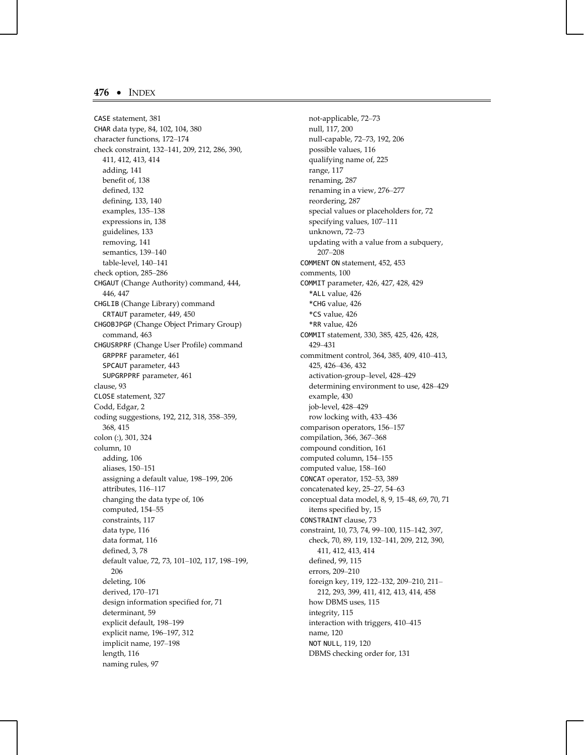CASE statement, 381 CHAR data type, 84, 102, 104, 380 character functions, 172–174 check constraint, 132–141, 209, 212, 286, 390, 411, 412, 413, 414 adding, 141 benefit of, 138 defined, 132 defining, 133, 140 examples, 135–138 expressions in, 138 guidelines, 133 removing, 141 semantics, 139–140 table-level, 140–141 check option, 285–286 CHGAUT (Change Authority) command, 444, 446, 447 CHGLIB (Change Library) command CRTAUT parameter, 449, 450 CHGOBJPGP (Change Object Primary Group) command, 463 CHGUSRPRF (Change User Profile) command GRPPRF parameter, 461 SPCAUT parameter, 443 SUPGRPPRF parameter, 461 clause, 93 CLOSE statement, 327 Codd, Edgar, 2 coding suggestions, 192, 212, 318, 358–359, 368, 415 colon (:), 301, 324 column, 10 adding, 106 aliases, 150–151 assigning a default value, 198–199, 206 attributes, 116–117 changing the data type of, 106 computed, 154–55 constraints, 117 data type, 116 data format, 116 defined, 3, 78 default value, 72, 73, 101–102, 117, 198–199, 206 deleting, 106 derived, 170–171 design information specified for, 71 determinant, 59 explicit default, 198–199 explicit name, 196–197, 312 implicit name, 197–198 length, 116 naming rules, 97

not-applicable, 72–73 null, 117, 200 null-capable, 72–73, 192, 206 possible values, 116 qualifying name of, 225 range, 117 renaming, 287 renaming in a view, 276–277 reordering, 287 special values or placeholders for, 72 specifying values, 107–111 unknown, 72–73 updating with a value from a subquery, 207–208 COMMENT ON statement, 452, 453 comments, 100 COMMIT parameter, 426, 427, 428, 429 \*ALL value, 426 \*CHG value, 426 \*CS value, 426 \*RR value, 426 COMMIT statement, 330, 385, 425, 426, 428, 429–431 commitment control, 364, 385, 409, 410–413, 425, 426–436, 432 activation-group–level, 428–429 determining environment to use, 428–429 example, 430 job-level, 428–429 row locking with, 433–436 comparison operators, 156–157 compilation, 366, 367–368 compound condition, 161 computed column, 154–155 computed value, 158–160 CONCAT operator, 152–53, 389 concatenated key, 25–27, 54–63 conceptual data model, 8, 9, 15–48, 69, 70, 71 items specified by, 15 CONSTRAINT clause, 73 constraint, 10, 73, 74, 99–100, 115–142, 397, check, 70, 89, 119, 132–141, 209, 212, 390, 411, 412, 413, 414 defined, 99, 115 errors, 209–210 foreign key, 119, 122–132, 209–210, 211– 212, 293, 399, 411, 412, 413, 414, 458 how DBMS uses, 115 integrity, 115 interaction with triggers, 410–415 name, 120 NOT NULL, 119, 120 DBMS checking order for, 131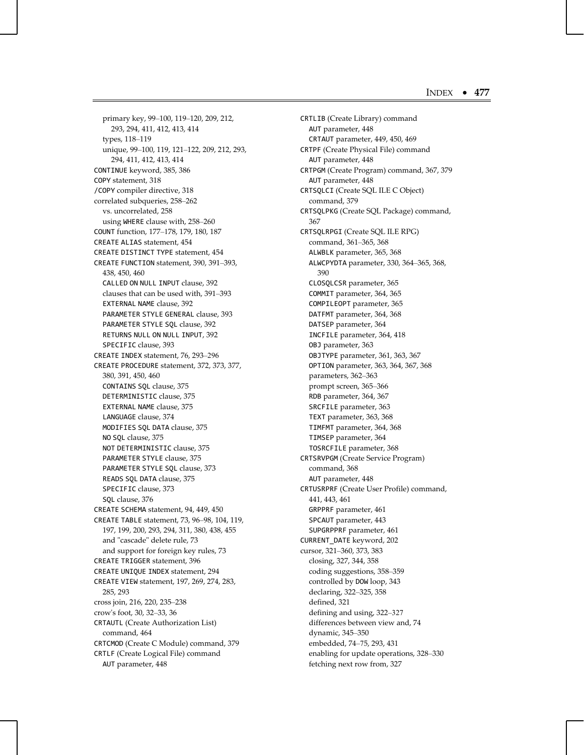primary key, 99–100, 119–120, 209, 212, 293, 294, 411, 412, 413, 414 types, 118–119 unique, 99–100, 119, 121–122, 209, 212, 293, 294, 411, 412, 413, 414 CONTINUE keyword, 385, 386 COPY statement, 318 /COPY compiler directive, 318 correlated subqueries, 258–262 vs. uncorrelated, 258 using WHERE clause with, 258–260 COUNT function, 177–178, 179, 180, 187 CREATE ALIAS statement, 454 CREATE DISTINCT TYPE statement, 454 CREATE FUNCTION statement, 390, 391–393, 438, 450, 460 CALLED ON NULL INPUT clause, 392 clauses that can be used with, 391–393 EXTERNAL NAME clause, 392 PARAMETER STYLE GENERAL clause, 393 PARAMETER STYLE SQL clause, 392 RETURNS NULL ON NULL INPUT, 392 SPECIFIC clause, 393 CREATE INDEX statement, 76, 293–296 CREATE PROCEDURE statement, 372, 373, 377, 380, 391, 450, 460 CONTAINS SQL clause, 375 DETERMINISTIC clause, 375 EXTERNAL NAME clause, 375 LANGUAGE clause, 374 MODIFIES SQL DATA clause, 375 NO SQL clause, 375 NOT DETERMINISTIC clause, 375 PARAMETER STYLE clause, 375 PARAMETER STYLE SQL clause, 373 READS SQL DATA clause, 375 SPECIFIC clause, 373 SQL clause, 376 CREATE SCHEMA statement, 94, 449, 450 CREATE TABLE statement, 73, 96–98, 104, 119, 197, 199, 200, 293, 294, 311, 380, 438, 455 and "cascade" delete rule, 73 and support for foreign key rules, 73 CREATE TRIGGER statement, 396 CREATE UNIQUE INDEX statement, 294 CREATE VIEW statement, 197, 269, 274, 283, 285, 293 cross join, 216, 220, 235–238 crow's foot, 30, 32–33, 36 CRTAUTL (Create Authorization List) command, 464 CRTCMOD (Create C Module) command, 379 CRTLF (Create Logical File) command AUT parameter, 448

CRTLIB (Create Library) command AUT parameter, 448 CRTAUT parameter, 449, 450, 469 CRTPF (Create Physical File) command AUT parameter, 448 CRTPGM (Create Program) command, 367, 379 AUT parameter, 448 CRTSQLCI (Create SQL ILE C Object) command, 379 CRTSQLPKG (Create SQL Package) command, 367 CRTSQLRPGI (Create SQL ILE RPG) command, 361–365, 368 ALWBLK parameter, 365, 368 ALWCPYDTA parameter, 330, 364–365, 368, 390 CLOSQLCSR parameter, 365 COMMIT parameter, 364, 365 COMPILEOPT parameter, 365 DATFMT parameter, 364, 368 DATSEP parameter, 364 INCFILE parameter, 364, 418 OBJ parameter, 363 OBJTYPE parameter, 361, 363, 367 OPTION parameter, 363, 364, 367, 368 parameters, 362–363 prompt screen, 365–366 RDB parameter, 364, 367 SRCFILE parameter, 363 TEXT parameter, 363, 368 TIMFMT parameter, 364, 368 TIMSEP parameter, 364 TOSRCFILE parameter, 368 CRTSRVPGM (Create Service Program) command, 368 AUT parameter, 448 CRTUSRPRF (Create User Profile) command, 441, 443, 461 GRPPRF parameter, 461 SPCAUT parameter, 443 SUPGRPPRF parameter, 461 CURRENT\_DATE keyword, 202 cursor, 321–360, 373, 383 closing, 327, 344, 358 coding suggestions, 358–359 controlled by DOW loop, 343 declaring, 322–325, 358 defined, 321 defining and using, 322–327 differences between view and, 74 dynamic, 345–350 embedded, 74–75, 293, 431 enabling for update operations, 328–330 fetching next row from, 327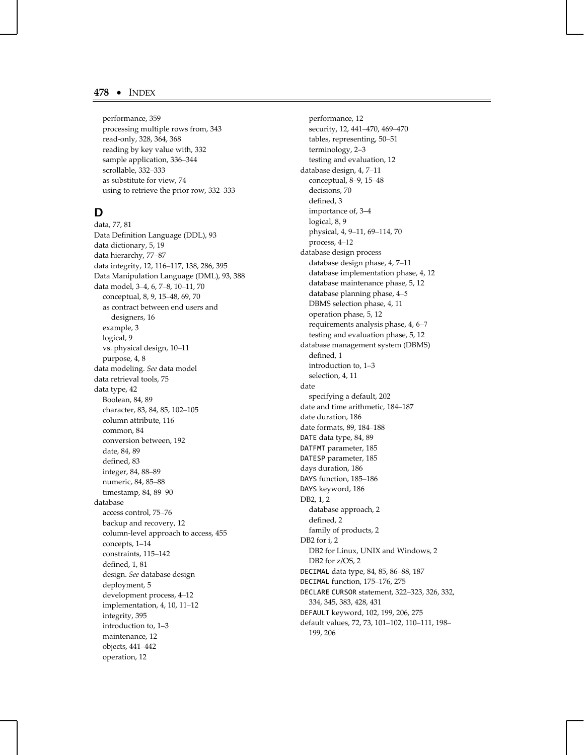performance, 359 processing multiple rows from, 343 read-only, 328, 364, 368 reading by key value with, 332 sample application, 336–344 scrollable, 332–333 as substitute for view, 74 using to retrieve the prior row, 332–333

## **D**

data, 77, 81 Data Definition Language (DDL), 93 data dictionary, 5, 19 data hierarchy, 77–87 data integrity, 12, 116–117, 138, 286, 395 Data Manipulation Language (DML), 93, 388 data model, 3–4, 6, 7–8, 10–11, 70 conceptual, 8, 9, 15–48, 69, 70 as contract between end users and designers, 16 example, 3 logical, 9 vs. physical design, 10–11 purpose, 4, 8 data modeling. *See* data model data retrieval tools, 75 data type, 42 Boolean, 84, 89 character, 83, 84, 85, 102–105 column attribute, 116 common, 84 conversion between, 192 date, 84, 89 defined, 83 integer, 84, 88–89 numeric, 84, 85–88 timestamp, 84, 89–90 database access control, 75–76 backup and recovery, 12 column-level approach to access, 455 concepts, 1–14 constraints, 115–142 defined, 1, 81 design. *See* database design deployment, 5 development process, 4–12 implementation, 4, 10, 11–12 integrity, 395 introduction to, 1–3 maintenance, 12 objects, 441–442 operation, 12

performance, 12 security, 12, 441–470, 469–470 tables, representing, 50–51 terminology, 2–3 testing and evaluation, 12 database design, 4, 7–11 conceptual, 8–9, 15–48 decisions, 70 defined, 3 importance of, 3–4 logical, 8, 9 physical, 4, 9–11, 69–114, 70 process, 4–12 database design process database design phase, 4, 7–11 database implementation phase, 4, 12 database maintenance phase, 5, 12 database planning phase, 4–5 DBMS selection phase, 4, 11 operation phase, 5, 12 requirements analysis phase, 4, 6–7 testing and evaluation phase, 5, 12 database management system (DBMS) defined, 1 introduction to, 1–3 selection, 4, 11 date specifying a default, 202 date and time arithmetic, 184–187 date duration, 186 date formats, 89, 184–188 DATE data type, 84, 89 DATFMT parameter, 185 DATESP parameter, 185 days duration, 186 DAYS function, 185–186 DAYS keyword, 186 DB2, 1, 2 database approach, 2 defined, 2 family of products, 2 DB2 for i, 2 DB2 for Linux, UNIX and Windows, 2 DB2 for z/OS, 2 DECIMAL data type, 84, 85, 86–88, 187 DECIMAL function, 175–176, 275 DECLARE CURSOR statement, 322–323, 326, 332, 334, 345, 383, 428, 431 DEFAULT keyword, 102, 199, 206, 275 default values, 72, 73, 101–102, 110–111, 198– 199, 206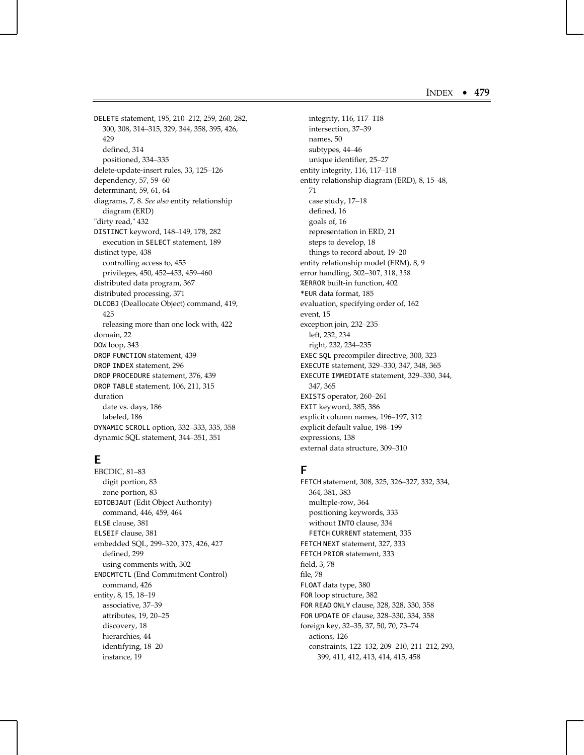DELETE statement, 195, 210–212, 259, 260, 282, 300, 308, 314–315, 329, 344, 358, 395, 426, 429 defined, 314 positioned, 334–335 delete-update-insert rules, 33, 125–126 dependency, 57, 59–60 determinant, 59, 61, 64 diagrams, 7, 8. *See also* entity relationship diagram (ERD) "dirty read," 432 DISTINCT keyword, 148–149, 178, 282 execution in SELECT statement, 189 distinct type, 438 controlling access to, 455 privileges, 450, 452–453, 459–460 distributed data program, 367 distributed processing, 371 DLCOBJ (Deallocate Object) command, 419, 425 releasing more than one lock with, 422 domain, 22 DOW loop, 343 DROP FUNCTION statement, 439 DROP INDEX statement, 296 DROP PROCEDURE statement, 376, 439 DROP TABLE statement, 106, 211, 315 duration date vs. days, 186 labeled, 186 DYNAMIC SCROLL option, 332–333, 335, 358 dynamic SQL statement, 344–351, 351

# **E**

EBCDIC, 81–83 digit portion, 83 zone portion, 83 EDTOBJAUT (Edit Object Authority) command, 446, 459, 464 ELSE clause, 381 ELSEIF clause, 381 embedded SQL, 299–320, 373, 426, 427 defined, 299 using comments with, 302 ENDCMTCTL (End Commitment Control) command, 426 entity, 8, 15, 18–19 associative, 37–39 attributes, 19, 20–25 discovery, 18 hierarchies, 44 identifying, 18–20 instance, 19

integrity, 116, 117–118 intersection, 37–39 names, 50 subtypes, 44–46 unique identifier, 25–27 entity integrity, 116, 117–118 entity relationship diagram (ERD), 8, 15–48, 71 case study, 17–18 defined, 16 goals of, 16 representation in ERD, 21 steps to develop, 18 things to record about, 19–20 entity relationship model (ERM), 8, 9 error handling, 302–307, 318, 358 %ERROR built-in function, 402 \*EUR data format, 185 evaluation, specifying order of, 162 event, 15 exception join, 232–235 left, 232, 234 right, 232, 234–235 EXEC SQL precompiler directive, 300, 323 EXECUTE statement, 329–330, 347, 348, 365 EXECUTE IMMEDIATE statement, 329–330, 344, 347, 365 EXISTS operator, 260–261 EXIT keyword, 385, 386 explicit column names, 196–197, 312 explicit default value, 198–199 expressions, 138 external data structure, 309–310

## **F**

FETCH statement, 308, 325, 326–327, 332, 334, 364, 381, 383 multiple-row, 364 positioning keywords, 333 without INTO clause, 334 FETCH CURRENT statement, 335 FETCH NEXT statement, 327, 333 FETCH PRIOR statement, 333 field, 3, 78 file, 78 FLOAT data type, 380 FOR loop structure, 382 FOR READ ONLY clause, 328, 328, 330, 358 FOR UPDATE OF clause, 328–330, 334, 358 foreign key, 32–35, 37, 50, 70, 73–74 actions, 126 constraints, 122–132, 209–210, 211–212, 293, 399, 411, 412, 413, 414, 415, 458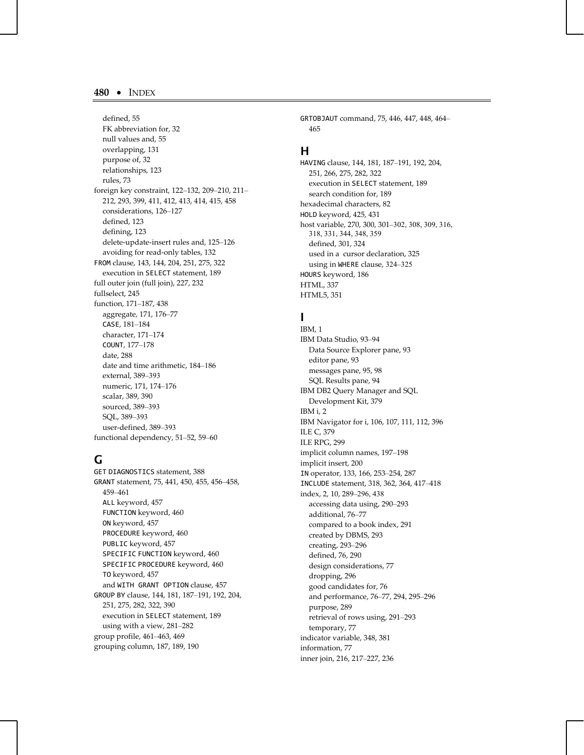defined, 55 FK abbreviation for, 32 null values and, 55 overlapping, 131 purpose of, 32 relationships, 123 rules, 73 foreign key constraint, 122–132, 209–210, 211– 212, 293, 399, 411, 412, 413, 414, 415, 458 considerations, 126–127 defined, 123 defining, 123 delete-update-insert rules and, 125–126 avoiding for read-only tables, 132 FROM clause, 143, 144, 204, 251, 275, 322 execution in SELECT statement, 189 full outer join (full join), 227, 232 fullselect, 245 function, 171–187, 438 aggregate, 171, 176–77 CASE, 181–184 character, 171–174 COUNT, 177–178 date, 288 date and time arithmetic, 184–186 external, 389–393 numeric, 171, 174–176 scalar, 389, 390 sourced, 389–393 SQL, 389–393 user-defined, 389–393 functional dependency, 51–52, 59–60

# **G**

GET DIAGNOSTICS statement, 388 GRANT statement, 75, 441, 450, 455, 456–458, 459–461 ALL keyword, 457 FUNCTION keyword, 460 ON keyword, 457 PROCEDURE keyword, 460 PUBLIC keyword, 457 SPECIFIC FUNCTION keyword, 460 SPECIFIC PROCEDURE keyword, 460 TO keyword, 457 and WITH GRANT OPTION clause, 457 GROUP BY clause, 144, 181, 187–191, 192, 204, 251, 275, 282, 322, 390 execution in SELECT statement, 189 using with a view, 281–282 group profile, 461–463, 469 grouping column, 187, 189, 190

GRTOBJAUT command, 75, 446, 447, 448, 464– 465

## **H**

HAVING clause, 144, 181, 187–191, 192, 204, 251, 266, 275, 282, 322 execution in SELECT statement, 189 search condition for, 189 hexadecimal characters, 82 HOLD keyword, 425, 431 host variable, 270, 300, 301–302, 308, 309, 316, 318, 331, 344, 348, 359 defined, 301, 324 used in a cursor declaration, 325 using in WHERE clause, 324–325 HOURS keyword, 186 HTML, 337 HTML5, 351

## **I**

IBM, 1 IBM Data Studio, 93–94 Data Source Explorer pane, 93 editor pane, 93 messages pane, 95, 98 SQL Results pane, 94 IBM DB2 Query Manager and SQL Development Kit, 379 IBM i, 2 IBM Navigator for i, 106, 107, 111, 112, 396 ILE C, 379 ILE RPG, 299 implicit column names, 197–198 implicit insert, 200 IN operator, 133, 166, 253–254, 287 INCLUDE statement, 318, 362, 364, 417–418 index, 2, 10, 289–296, 438 accessing data using, 290–293 additional, 76–77 compared to a book index, 291 created by DBMS, 293 creating, 293–296 defined, 76, 290 design considerations, 77 dropping, 296 good candidates for, 76 and performance, 76–77, 294, 295–296 purpose, 289 retrieval of rows using, 291–293 temporary, 77 indicator variable, 348, 381 information, 77 inner join, 216, 217–227, 236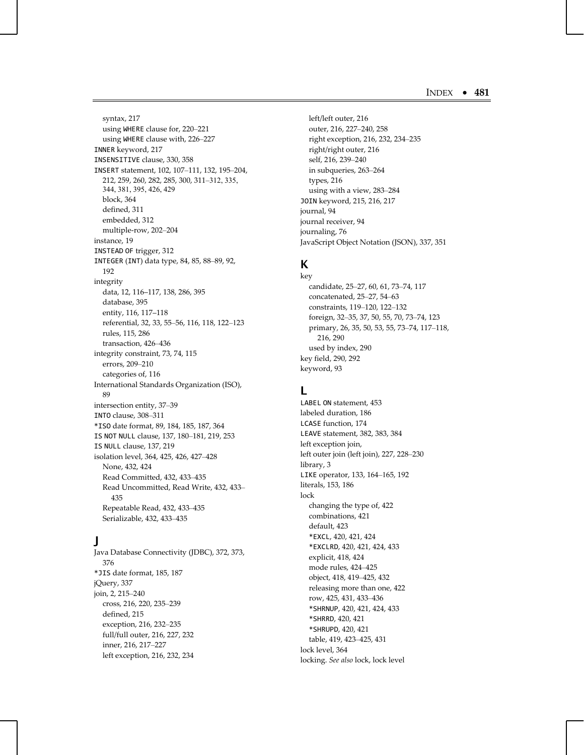syntax, 217 using WHERE clause for, 220–221 using WHERE clause with, 226–227 INNER keyword, 217 INSENSITIVE clause, 330, 358 INSERT statement, 102, 107–111, 132, 195–204, 212, 259, 260, 282, 285, 300, 311–312, 335, 344, 381, 395, 426, 429 block, 364 defined, 311 embedded, 312 multiple-row, 202–204 instance, 19 INSTEAD OF trigger, 312 INTEGER (INT) data type, 84, 85, 88–89, 92, 192 integrity data, 12, 116–117, 138, 286, 395 database, 395 entity, 116, 117–118 referential, 32, 33, 55–56, 116, 118, 122–123 rules, 115, 286 transaction, 426–436 integrity constraint, 73, 74, 115 errors, 209–210 categories of, 116 International Standards Organization (ISO), 89 intersection entity, 37–39 INTO clause, 308–311 \*ISO date format, 89, 184, 185, 187, 364 IS NOT NULL clause, 137, 180–181, 219, 253 IS NULL clause, 137, 219 isolation level, 364, 425, 426, 427–428 None, 432, 424 Read Committed, 432, 433–435 Read Uncommitted, Read Write, 432, 433– 435 Repeatable Read, 432, 433–435 Serializable, 432, 433–435

# **J**

Java Database Connectivity (JDBC), 372, 373, 376 \*JIS date format, 185, 187 jQuery, 337 join, 2, 215–240 cross, 216, 220, 235–239 defined, 215 exception, 216, 232–235 full/full outer, 216, 227, 232 inner, 216, 217–227 left exception, 216, 232, 234

left/left outer, 216 outer, 216, 227–240, 258 right exception, 216, 232, 234–235 right/right outer, 216 self, 216, 239–240 in subqueries, 263–264 types, 216 using with a view, 283–284 JOIN keyword, 215, 216, 217 journal, 94 journal receiver, 94 journaling, 76 JavaScript Object Notation (JSON), 337, 351

## **K**

key candidate, 25–27, 60, 61, 73–74, 117 concatenated, 25–27, 54–63 constraints, 119–120, 122–132 foreign, 32–35, 37, 50, 55, 70, 73–74, 123 primary, 26, 35, 50, 53, 55, 73–74, 117–118, 216, 290 used by index, 290 key field, 290, 292 keyword, 93

## **L**

LABEL ON statement, 453 labeled duration, 186 LCASE function, 174 LEAVE statement, 382, 383, 384 left exception join, left outer join (left join), 227, 228–230 library, 3 LIKE operator, 133, 164–165, 192 literals, 153, 186 lock changing the type of, 422 combinations, 421 default, 423 \*EXCL, 420, 421, 424 \*EXCLRD, 420, 421, 424, 433 explicit, 418, 424 mode rules, 424–425 object, 418, 419–425, 432 releasing more than one, 422 row, 425, 431, 433–436 \*SHRNUP, 420, 421, 424, 433 \*SHRRD, 420, 421 \*SHRUPD, 420, 421 table, 419, 423–425, 431 lock level, 364 locking. *See also* lock, lock level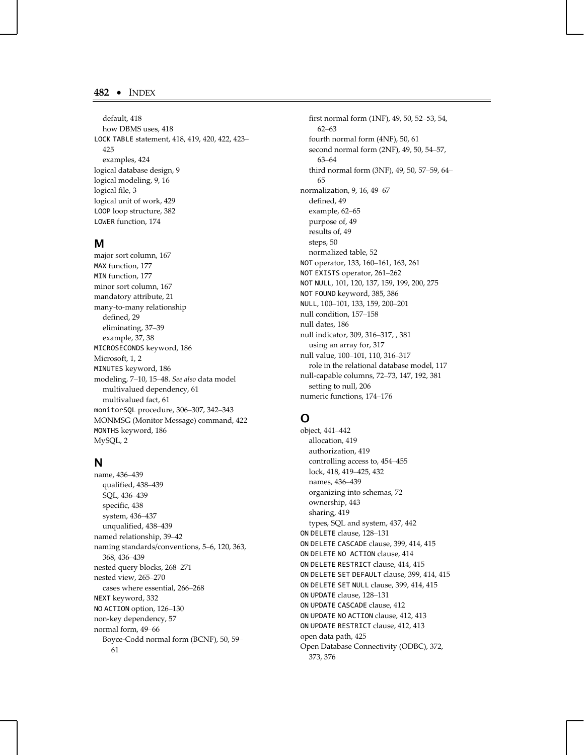default, 418 how DBMS uses, 418 LOCK TABLE statement, 418, 419, 420, 422, 423– 425 examples, 424 logical database design, 9 logical modeling, 9, 16 logical file, 3 logical unit of work, 429 LOOP loop structure, 382 LOWER function, 174

#### **M**

major sort column, 167 MAX function, 177 MIN function, 177 minor sort column, 167 mandatory attribute, 21 many-to-many relationship defined, 29 eliminating, 37–39 example, 37, 38 MICROSECONDS keyword, 186 Microsoft, 1, 2 MINUTES keyword, 186 modeling, 7–10, 15–48. *See also* data model multivalued dependency, 61 multivalued fact, 61 monitorSQL procedure, 306–307, 342–343 MONMSG (Monitor Message) command, 422 MONTHS keyword, 186 MySQL, 2

## **N**

name, 436–439 qualified, 438–439 SQL, 436–439 specific, 438 system, 436–437 unqualified, 438–439 named relationship, 39–42 naming standards/conventions, 5–6, 120, 363, 368, 436–439 nested query blocks, 268–271 nested view, 265–270 cases where essential, 266–268 NEXT keyword, 332 NO ACTION option, 126–130 non-key dependency, 57 normal form, 49–66 Boyce-Codd normal form (BCNF), 50, 59– 61

first normal form (1NF), 49, 50, 52–53, 54, 62–63 fourth normal form (4NF), 50, 61 second normal form (2NF), 49, 50, 54–57, 63–64 third normal form (3NF), 49, 50, 57–59, 64– 65 normalization, 9, 16, 49–67 defined, 49 example, 62–65 purpose of, 49 results of, 49 steps, 50 normalized table, 52 NOT operator, 133, 160–161, 163, 261 NOT EXISTS operator, 261–262 NOT NULL, 101, 120, 137, 159, 199, 200, 275 NOT FOUND keyword, 385, 386 NULL, 100–101, 133, 159, 200–201 null condition, 157–158 null dates, 186 null indicator, 309, 316–317, , 381 using an array for, 317 null value, 100–101, 110, 316–317 role in the relational database model, 117 null-capable columns, 72–73, 147, 192, 381 setting to null, 206 numeric functions, 174–176

# **O**

object, 441–442 allocation, 419 authorization, 419 controlling access to, 454–455 lock, 418, 419–425, 432 names, 436–439 organizing into schemas, 72 ownership, 443 sharing, 419 types, SQL and system, 437, 442 ON DELETE clause, 128–131 ON DELETE CASCADE clause, 399, 414, 415 ON DELETE NO ACTION clause, 414 ON DELETE RESTRICT clause, 414, 415 ON DELETE SET DEFAULT clause, 399, 414, 415 ON DELETE SET NULL clause, 399, 414, 415 ON UPDATE clause, 128–131 ON UPDATE CASCADE clause, 412 ON UPDATE NO ACTION clause, 412, 413 ON UPDATE RESTRICT clause, 412, 413 open data path, 425 Open Database Connectivity (ODBC), 372, 373, 376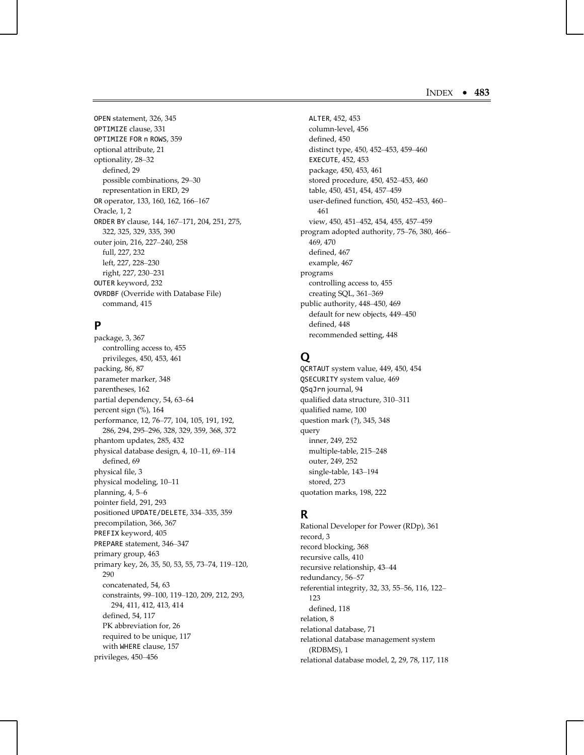OPEN statement, 326, 345 OPTIMIZE clause, 331 OPTIMIZE FOR n ROWS, 359 optional attribute, 21 optionality, 28–32 defined, 29 possible combinations, 29–30 representation in ERD, 29 OR operator, 133, 160, 162, 166–167 Oracle, 1, 2 ORDER BY clause, 144, 167–171, 204, 251, 275, 322, 325, 329, 335, 390 outer join, 216, 227–240, 258 full, 227, 232 left, 227, 228–230 right, 227, 230–231 OUTER keyword, 232 OVRDBF (Override with Database File) command, 415

## **P**

package, 3, 367 controlling access to, 455 privileges, 450, 453, 461 packing, 86, 87 parameter marker, 348 parentheses, 162 partial dependency, 54, 63–64 percent sign (%), 164 performance, 12, 76–77, 104, 105, 191, 192, 286, 294, 295–296, 328, 329, 359, 368, 372 phantom updates, 285, 432 physical database design, 4, 10–11, 69–114 defined, 69 physical file, 3 physical modeling, 10–11 planning, 4, 5–6 pointer field, 291, 293 positioned UPDATE/DELETE, 334–335, 359 precompilation, 366, 367 PREFIX keyword, 405 PREPARE statement, 346–347 primary group, 463 primary key, 26, 35, 50, 53, 55, 73–74, 119–120, 290 concatenated, 54, 63 constraints, 99–100, 119–120, 209, 212, 293, 294, 411, 412, 413, 414 defined, 54, 117 PK abbreviation for, 26 required to be unique, 117 with WHERE clause, 157 privileges, 450–456

ALTER, 452, 453 column-level, 456 defined, 450 distinct type, 450, 452–453, 459–460 EXECUTE, 452, 453 package, 450, 453, 461 stored procedure, 450, 452–453, 460 table, 450, 451, 454, 457–459 user-defined function, 450, 452–453, 460– 461 view, 450, 451–452, 454, 455, 457–459 program adopted authority, 75–76, 380, 466– 469, 470 defined, 467 example, 467 programs controlling access to, 455 creating SQL, 361–369 public authority, 448–450, 469 default for new objects, 449–450 defined, 448 recommended setting, 448

# **Q**

QCRTAUT system value, 449, 450, 454 QSECURITY system value, 469 QSqJrn journal, 94 qualified data structure, 310–311 qualified name, 100 question mark (?), 345, 348 query inner, 249, 252 multiple-table, 215–248 outer, 249, 252 single-table, 143–194 stored, 273 quotation marks, 198, 222

# **R**

Rational Developer for Power (RDp), 361 record, 3 record blocking, 368 recursive calls, 410 recursive relationship, 43–44 redundancy, 56–57 referential integrity, 32, 33, 55–56, 116, 122– 123 defined, 118 relation, 8 relational database, 71 relational database management system (RDBMS), 1 relational database model, 2, 29, 78, 117, 118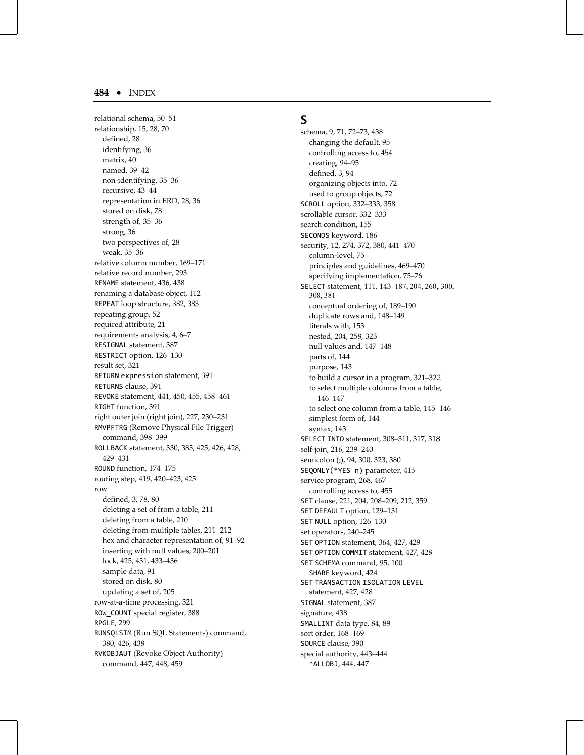relational schema, 50–51 relationship, 15, 28, 70 defined, 28 identifying, 36 matrix, 40 named, 39–42 non-identifying, 35–36 recursive, 43–44 representation in ERD, 28, 36 stored on disk, 78 strength of, 35–36 strong, 36 two perspectives of, 28 weak, 35–36 relative column number, 169–171 relative record number, 293 RENAME statement, 436, 438 renaming a database object, 112 REPEAT loop structure, 382, 383 repeating group, 52 required attribute, 21 requirements analysis, 4, 6–7 RESIGNAL statement, 387 RESTRICT option, 126–130 result set, 321 RETURN expression statement, 391 RETURNS clause, 391 REVOKE statement, 441, 450, 455, 458–461 RIGHT function, 391 right outer join (right join), 227, 230–231 RMVPFTRG (Remove Physical File Trigger) command, 398–399 ROLLBACK statement, 330, 385, 425, 426, 428, 429–431 ROUND function, 174–175 routing step, 419, 420–423, 425 row defined, 3, 78, 80 deleting a set of from a table, 211 deleting from a table, 210 deleting from multiple tables, 211–212 hex and character representation of, 91–92 inserting with null values, 200–201 lock, 425, 431, 433–436 sample data, 91 stored on disk, 80 updating a set of, 205 row-at-a-time processing, 321 ROW\_COUNT special register, 388 RPGLE, 299 RUNSQLSTM (Run SQL Statements) command, 380, 426, 438 RVKOBJAUT (Revoke Object Authority) command, 447, 448, 459

## **S**

schema, 9, 71, 72–73, 438 changing the default, 95 controlling access to, 454 creating, 94–95 defined, 3, 94 organizing objects into, 72 used to group objects, 72 SCROLL option, 332–333, 358 scrollable cursor, 332–333 search condition, 155 SECONDS keyword, 186 security, 12, 274, 372, 380, 441–470 column-level, 75 principles and guidelines, 469–470 specifying implementation, 75–76 SELECT statement, 111, 143–187, 204, 260, 300, 308, 381 conceptual ordering of, 189–190 duplicate rows and, 148–149 literals with, 153 nested, 204, 258, 323 null values and, 147–148 parts of, 144 purpose, 143 to build a cursor in a program, 321–322 to select multiple columns from a table, 146–147 to select one column from a table, 145–146 simplest form of, 144 syntax, 143 SELECT INTO statement, 308–311, 317, 318 self-join, 216, 239–240 semicolon (;), 94, 300, 323, 380 SEQONLY(\*YES n) parameter, 415 service program, 268, 467 controlling access to, 455 SET clause, 221, 204, 208–209, 212, 359 SET DEFAULT option, 129–131 SET NULL option, 126–130 set operators, 240–245 SET OPTION statement, 364, 427, 429 SET OPTION COMMIT statement, 427, 428 SET SCHEMA command, 95, 100 SHARE keyword, 424 SET TRANSACTION ISOLATION LEVEL statement, 427, 428 SIGNAL statement, 387 signature, 438 SMALLINT data type, 84, 89 sort order, 168–169 SOURCE clause, 390 special authority, 443–444 \*ALLOBJ, 444, 447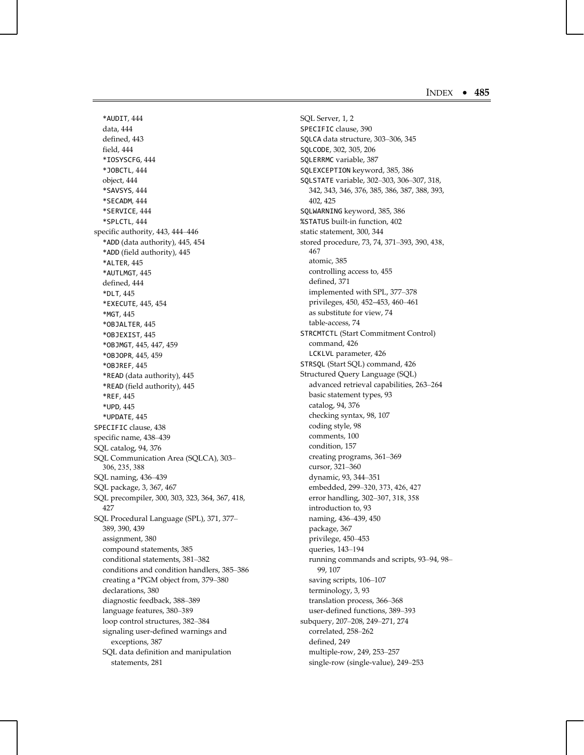\*AUDIT, 444 data, 444 defined, 443 field, 444 \*IOSYSCFG, 444 \*JOBCTL, 444 object, 444 \*SAVSYS, 444 \*SECADM, 444 \*SERVICE, 444 \*SPLCTL, 444 specific authority, 443, 444–446 \*ADD (data authority), 445, 454 \*ADD (field authority), 445 \*ALTER, 445 \*AUTLMGT, 445 defined, 444 \*DLT, 445 \*EXECUTE, 445, 454 \*MGT, 445 \*OBJALTER, 445 \*OBJEXIST, 445 \*OBJMGT, 445, 447, 459 \*OBJOPR, 445, 459 \*OBJREF, 445 \*READ (data authority), 445 \*READ (field authority), 445 \*REF, 445 \*UPD, 445 \*UPDATE, 445 SPECIFIC clause, 438 specific name, 438–439 SQL catalog, 94, 376 SQL Communication Area (SQLCA), 303– 306, 235, 388 SQL naming, 436–439 SQL package, 3, 367, 467 SQL precompiler, 300, 303, 323, 364, 367, 418, 427 SQL Procedural Language (SPL), 371, 377– 389, 390, 439 assignment, 380 compound statements, 385 conditional statements, 381–382 conditions and condition handlers, 385–386 creating a \*PGM object from, 379–380 declarations, 380 diagnostic feedback, 388–389 language features, 380–389 loop control structures, 382–384 signaling user-defined warnings and exceptions, 387 SQL data definition and manipulation statements, 281

SQL Server, 1, 2 SPECIFIC clause, 390 SQLCA data structure, 303–306, 345 SQLCODE, 302, 305, 206 SQLERRMC variable, 387 SQLEXCEPTION keyword, 385, 386 SQLSTATE variable, 302–303, 306–307, 318, 342, 343, 346, 376, 385, 386, 387, 388, 393, 402, 425 SQLWARNING keyword, 385, 386 %STATUS built-in function, 402 static statement, 300, 344 stored procedure, 73, 74, 371–393, 390, 438, 467 atomic, 385 controlling access to, 455 defined, 371 implemented with SPL, 377–378 privileges, 450, 452–453, 460–461 as substitute for view, 74 table-access, 74 STRCMTCTL (Start Commitment Control) command, 426 LCKLVL parameter, 426 STRSQL (Start SQL) command, 426 Structured Query Language (SQL) advanced retrieval capabilities, 263–264 basic statement types, 93 catalog, 94, 376 checking syntax, 98, 107 coding style, 98 comments, 100 condition, 157 creating programs, 361–369 cursor, 321–360 dynamic, 93, 344–351 embedded, 299–320, 373, 426, 427 error handling, 302–307, 318, 358 introduction to, 93 naming, 436–439, 450 package, 367 privilege, 450–453 queries, 143–194 running commands and scripts, 93–94, 98– 99, 107 saving scripts, 106–107 terminology, 3, 93 translation process, 366–368 user-defined functions, 389–393 subquery, 207–208, 249–271, 274 correlated, 258–262 defined, 249 multiple-row, 249, 253–257 single-row (single-value), 249–253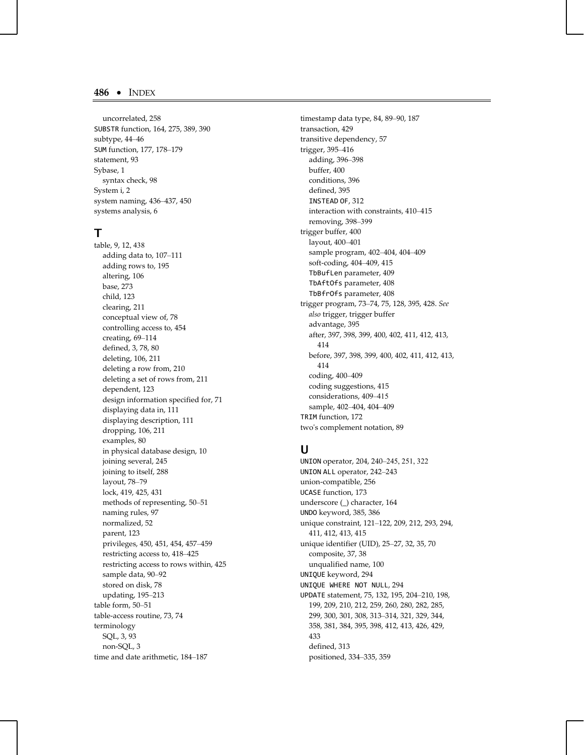uncorrelated, 258 SUBSTR function, 164, 275, 389, 390 subtype, 44 –46 SUM function, 177, 178 –179 statement, 93 Sybase, 1 syntax check, 98 System i, 2 system naming, 436 –437, 450 systems analysis, 6

## **T**

table, 9, 12, 438 adding data to, 107 –111 adding rows to, 195 altering, 106 base, 273 child, 123 clearing, 211 conceptual view of, 78 controlling access to, 454 creating, 69 –114 defined, 3, 78, 80 deleting, 106, 211 deleting a row from, 210 deleting a set of rows from, 211 dependent, 123 design information specified for, 71 displaying data in, 111 displaying description, 111 dropping, 106, 211 examples, 80 in physical database design, 10 joining several, 245 joining to itself, 288 layout, 78–79 lock, 419, 425, 431 methods of representing, 50 –51 naming rules, 97 normalized, 52 parent, 123 privileges, 450, 451, 454, 457 –459 restricting access to, 418 –425 restricting access to rows within, 425 sample data, 90 –92 stored on disk, 78 updating, 195 –213 table form, 50 –51 table-access routine, 73, 74 terminology SQL, 3, 93 non-SQL, 3 time and date arithmetic, 184 –187

timestamp data type, 84, 89 –90, 187 transaction, 429 transitive dependency, 57 trigger, 395 –416 adding, 396 –398 buffer, 400 conditions, 396 defined, 395 INSTEAD OF, 312 interaction with constraints, 410 –415 removing, 398–399 trigger buffer, 400 layout, 400 –401 sample program, 402 –404, 404 –409 soft-coding, 404 –409, 415 TbBufLen parameter, 409 TbAftOfs parameter, 408 TbBfrOfs parameter, 408 trigger program, 73 –74, 75, 128, 395, 428. *See also* trigger, trigger buffer advantage, 395 after, 397, 398, 399, 400, 402, 411, 412, 413, 414 before, 397, 398, 399, 400, 402, 411, 412, 413, 414 coding, 400 –409 coding suggestions, 415 considerations, 409–415 sample, 402 –404, 404 –409 TRIM function, 172 two's complement notation, 89

## **U**

UNION operator, 204, 240–245, 251, 322 UNION ALL operator, 242 –243 union-compatible, 256 UCASE function, 173 underscore (\_) character, 164 UNDO keyword, 385, 386 unique constraint, 121 –122, 209, 212, 293, 294, 411, 412, 413, 415 unique identifier (UID), 25 –27, 32, 35, 70 composite, 37, 38 unqualified name, 100 UNIQUE keyword, 294 UNIQUE WHERE NOT NULL, 294 UPDATE statement, 75, 132, 195, 204 –210, 198, 199, 209, 210, 212, 259, 260, 280, 282, 285, 299, 300, 301, 308, 313 –314, 321, 329, 344, 358, 381, 384, 395, 398, 412, 413, 426, 429, 433 defined, 313 positioned, 334 –335, 359